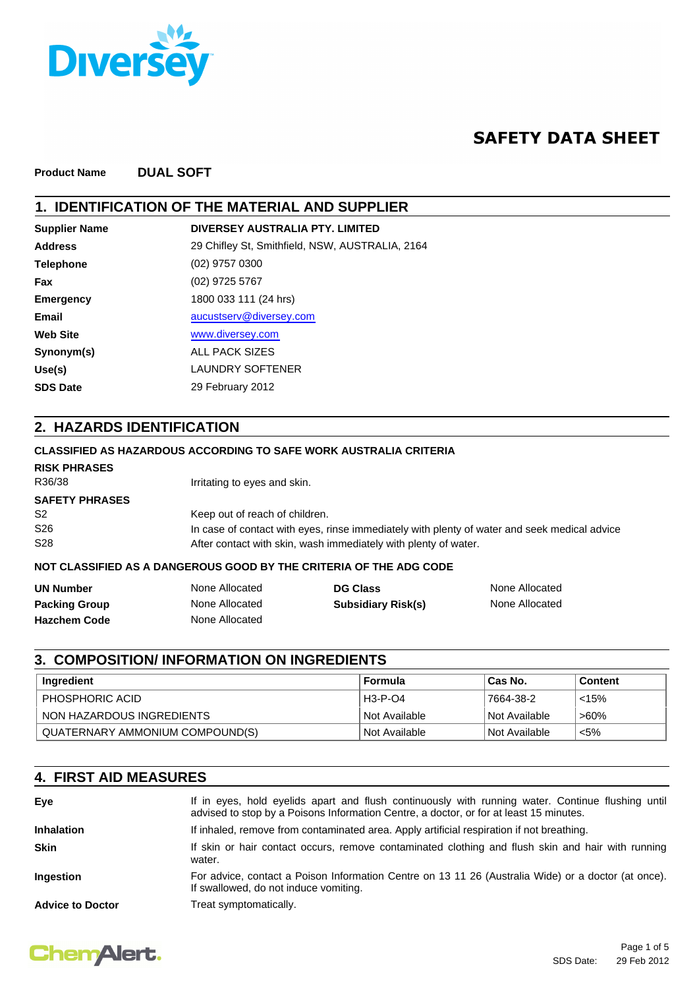

# **SAFETY DATA SHEET**

**Product Name DUAL SOFT**

## **1. IDENTIFICATION OF THE MATERIAL AND SUPPLIER**

| DIVERSEY AUSTRALIA PTY, LIMITED                 |
|-------------------------------------------------|
| 29 Chifley St, Smithfield, NSW, AUSTRALIA, 2164 |
| (02) 9757 0300                                  |
| (02) 9725 5767                                  |
| 1800 033 111 (24 hrs)                           |
| aucustserv@diversey.com                         |
| www.diversey.com                                |
| <b>ALL PACK SIZES</b>                           |
| <b>LAUNDRY SOFTENER</b>                         |
| 29 February 2012                                |
|                                                 |

## **2. HAZARDS IDENTIFICATION**

## **CLASSIFIED AS HAZARDOUS ACCORDING TO SAFE WORK AUSTRALIA CRITERIA** R36/38 **Irritating to eyes and skin.** S2 Keep out of reach of children. S26 In case of contact with eyes, rinse immediately with plenty of water and seek medical advice S28 S28 After contact with skin, wash immediately with plenty of water. **NOT CLASSIFIED AS A DANGEROUS GOOD BY THE CRITERIA OF THE ADG CODE SAFETY PHRASES RISK PHRASES**

| <b>UN Number</b>     | None Allocated | <b>DG Class</b>           | None Allocated |
|----------------------|----------------|---------------------------|----------------|
| <b>Packing Group</b> | None Allocated | <b>Subsidiary Risk(s)</b> | None Allocated |
| <b>Hazchem Code</b>  | None Allocated |                           |                |

## **3. COMPOSITION/ INFORMATION ON INGREDIENTS**

| Ingredient                      | Formula                    | ⊺Cas No.        | <b>Content</b> |
|---------------------------------|----------------------------|-----------------|----------------|
| PHOSPHORIC ACID                 | H3-P-04                    | 7664-38-2       | < 15%          |
| NON HAZARDOUS INGREDIENTS       | Not Available              | l Not Available | $>60\%$        |
| QUATERNARY AMMONIUM COMPOUND(S) | <sup>⊟</sup> Not Available | l Not Available | $< 5\%$        |

## **4. FIRST AID MEASURES**

| Eye                     | If in eyes, hold eyelids apart and flush continuously with running water. Continue flushing until<br>advised to stop by a Poisons Information Centre, a doctor, or for at least 15 minutes. |
|-------------------------|---------------------------------------------------------------------------------------------------------------------------------------------------------------------------------------------|
| <b>Inhalation</b>       | If inhaled, remove from contaminated area. Apply artificial respiration if not breathing.                                                                                                   |
| <b>Skin</b>             | If skin or hair contact occurs, remove contaminated clothing and flush skin and hair with running<br>water.                                                                                 |
| <b>Ingestion</b>        | For advice, contact a Poison Information Centre on 13 11 26 (Australia Wide) or a doctor (at once).<br>If swallowed, do not induce vomiting.                                                |
| <b>Advice to Doctor</b> | Treat symptomatically.                                                                                                                                                                      |

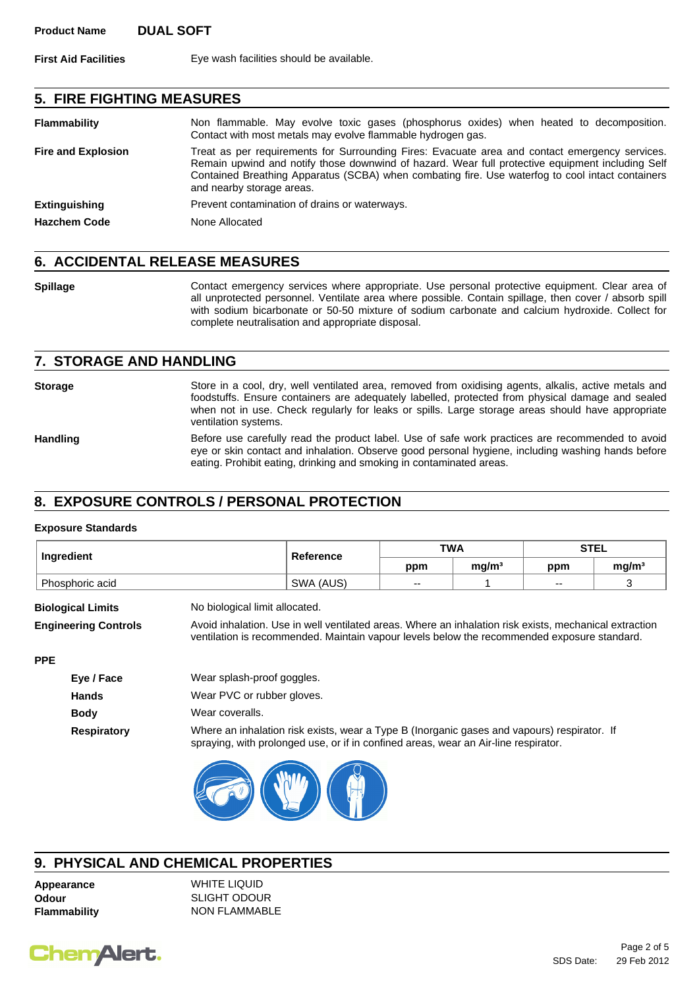**First Aid Facilities** Eye wash facilities should be available.

### **5. FIRE FIGHTING MEASURES**

| <b>Flammability</b>       | Non flammable. May evolve toxic gases (phosphorus oxides) when heated to decomposition.<br>Contact with most metals may evolve flammable hydrogen gas.                                                                                                                                                                              |
|---------------------------|-------------------------------------------------------------------------------------------------------------------------------------------------------------------------------------------------------------------------------------------------------------------------------------------------------------------------------------|
| <b>Fire and Explosion</b> | Treat as per requirements for Surrounding Fires: Evacuate area and contact emergency services.<br>Remain upwind and notify those downwind of hazard. Wear full protective equipment including Self<br>Contained Breathing Apparatus (SCBA) when combating fire. Use waterfog to cool intact containers<br>and nearby storage areas. |
| <b>Extinguishing</b>      | Prevent contamination of drains or waterways.                                                                                                                                                                                                                                                                                       |
| <b>Hazchem Code</b>       | None Allocated                                                                                                                                                                                                                                                                                                                      |

### **6. ACCIDENTAL RELEASE MEASURES**

**Spillage Contact emergency services where appropriate. Use personal protective equipment. Clear area of** all unprotected personnel. Ventilate area where possible. Contain spillage, then cover / absorb spill with sodium bicarbonate or 50-50 mixture of sodium carbonate and calcium hydroxide. Collect for complete neutralisation and appropriate disposal.

### **7. STORAGE AND HANDLING**

Storage Store in a cool, dry, well ventilated area, removed from oxidising agents, alkalis, active metals and foodstuffs. Ensure containers are adequately labelled, protected from physical damage and sealed when not in use. Check regularly for leaks or spills. Large storage areas should have appropriate ventilation systems.

Handling Before use carefully read the product label. Use of safe work practices are recommended to avoid eye or skin contact and inhalation. Observe good personal hygiene, including washing hands before eating. Prohibit eating, drinking and smoking in contaminated areas.

## **8. EXPOSURE CONTROLS / PERSONAL PROTECTION**

#### **Exposure Standards**

|                             |                                                                                                                                                                                                       |           | <b>TWA</b> |                   | <b>STEL</b> |                   |
|-----------------------------|-------------------------------------------------------------------------------------------------------------------------------------------------------------------------------------------------------|-----------|------------|-------------------|-------------|-------------------|
| Ingredient                  |                                                                                                                                                                                                       | Reference | ppm        | mg/m <sup>3</sup> | ppm         | mg/m <sup>3</sup> |
| Phosphoric acid             |                                                                                                                                                                                                       | SWA (AUS) | --         |                   | $- -$       | 3                 |
| <b>Biological Limits</b>    | No biological limit allocated.                                                                                                                                                                        |           |            |                   |             |                   |
| <b>Engineering Controls</b> | Avoid inhalation. Use in well ventilated areas. Where an inhalation risk exists, mechanical extraction<br>ventilation is recommended. Maintain vapour levels below the recommended exposure standard. |           |            |                   |             |                   |
| <b>PPE</b>                  |                                                                                                                                                                                                       |           |            |                   |             |                   |
| Eye / Face                  | Wear splash-proof goggles.                                                                                                                                                                            |           |            |                   |             |                   |
| <b>Hands</b>                | Wear PVC or rubber gloves.                                                                                                                                                                            |           |            |                   |             |                   |
| <b>Body</b>                 | Wear coveralls.                                                                                                                                                                                       |           |            |                   |             |                   |
| <b>Respiratory</b>          | Where an inhalation risk exists, wear a Type B (Inorganic gases and vapours) respirator. If<br>spraying, with prolonged use, or if in confined areas, wear an Air-line respirator.                    |           |            |                   |             |                   |



## **9. PHYSICAL AND CHEMICAL PROPERTIES**

**Flammability** NON FLAMMABLE

**Appearance** WHITE LIQUID **Odour** SLIGHT ODOUR

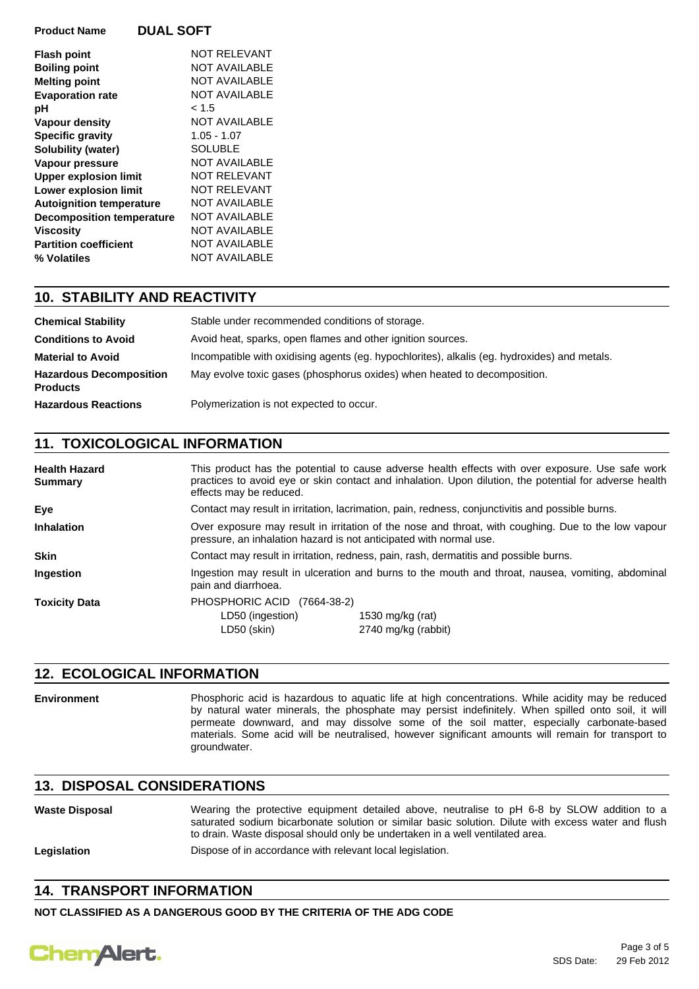| <b>Product Name</b>              | <b>DUAL SOFT</b>     |
|----------------------------------|----------------------|
| <b>Flash point</b>               | NOT RELEVANT         |
| <b>Boiling point</b>             | <b>NOT AVAILABLE</b> |
| <b>Melting point</b>             | <b>NOT AVAILABLE</b> |
| <b>Evaporation rate</b>          | <b>NOT AVAILABLE</b> |
| рH                               | < 1.5                |
| Vapour density                   | NOT AVAILABLE        |
| <b>Specific gravity</b>          | $1.05 - 1.07$        |
| Solubility (water)               | <b>SOLUBLE</b>       |
| Vapour pressure                  | NOT AVAILABLE        |
| <b>Upper explosion limit</b>     | <b>NOT RELEVANT</b>  |
| <b>Lower explosion limit</b>     | NOT RELEVANT         |
| <b>Autoignition temperature</b>  | <b>NOT AVAILABLE</b> |
| <b>Decomposition temperature</b> | NOT AVAILABLE        |
| <b>Viscosity</b>                 | <b>NOT AVAILABLE</b> |
| <b>Partition coefficient</b>     | <b>NOT AVAILABLE</b> |
| % Volatiles                      | NOT AVAILABLE        |
|                                  |                      |

## **10. STABILITY AND REACTIVITY**

| <b>Chemical Stability</b>                         | Stable under recommended conditions of storage.                                              |
|---------------------------------------------------|----------------------------------------------------------------------------------------------|
| <b>Conditions to Avoid</b>                        | Avoid heat, sparks, open flames and other ignition sources.                                  |
| <b>Material to Avoid</b>                          | Incompatible with oxidising agents (eg. hypochlorites), alkalis (eg. hydroxides) and metals. |
| <b>Hazardous Decomposition</b><br><b>Products</b> | May evolve toxic gases (phosphorus oxides) when heated to decomposition.                     |
| <b>Hazardous Reactions</b>                        | Polymerization is not expected to occur.                                                     |

## **11. TOXICOLOGICAL INFORMATION**

| <b>Health Hazard</b><br><b>Summary</b> | This product has the potential to cause adverse health effects with over exposure. Use safe work<br>practices to avoid eye or skin contact and inhalation. Upon dilution, the potential for adverse health<br>effects may be reduced. |                                                                                                                                                                           |  |  |
|----------------------------------------|---------------------------------------------------------------------------------------------------------------------------------------------------------------------------------------------------------------------------------------|---------------------------------------------------------------------------------------------------------------------------------------------------------------------------|--|--|
| Eye                                    |                                                                                                                                                                                                                                       | Contact may result in irritation, lacrimation, pain, redness, conjunctivitis and possible burns.                                                                          |  |  |
| <b>Inhalation</b>                      |                                                                                                                                                                                                                                       | Over exposure may result in irritation of the nose and throat, with coughing. Due to the low vapour<br>pressure, an inhalation hazard is not anticipated with normal use. |  |  |
| <b>Skin</b>                            |                                                                                                                                                                                                                                       | Contact may result in irritation, redness, pain, rash, dermatitis and possible burns.                                                                                     |  |  |
| <b>Ingestion</b>                       | pain and diarrhoea.                                                                                                                                                                                                                   | Ingestion may result in ulceration and burns to the mouth and throat, nausea, vomiting, abdominal                                                                         |  |  |
| <b>Toxicity Data</b>                   | PHOSPHORIC ACID (7664-38-2)<br>LD50 (ingestion)<br>LD50 (skin)                                                                                                                                                                        | 1530 mg/kg (rat)<br>2740 mg/kg (rabbit)                                                                                                                                   |  |  |

## **12. ECOLOGICAL INFORMATION**

**Environment** Phosphoric acid is hazardous to aquatic life at high concentrations. While acidity may be reduced by natural water minerals, the phosphate may persist indefinitely. When spilled onto soil, it will permeate downward, and may dissolve some of the soil matter, especially carbonate-based materials. Some acid will be neutralised, however significant amounts will remain for transport to groundwater.

### **13. DISPOSAL CONSIDERATIONS**

| <b>Waste Disposal</b> | Wearing the protective equipment detailed above, neutralise to pH 6-8 by SLOW addition to a<br>saturated sodium bicarbonate solution or similar basic solution. Dilute with excess water and flush<br>to drain. Waste disposal should only be undertaken in a well ventilated area. |
|-----------------------|-------------------------------------------------------------------------------------------------------------------------------------------------------------------------------------------------------------------------------------------------------------------------------------|
| Legislation           | Dispose of in accordance with relevant local legislation.                                                                                                                                                                                                                           |

## **14. TRANSPORT INFORMATION**

**NOT CLASSIFIED AS A DANGEROUS GOOD BY THE CRITERIA OF THE ADG CODE**

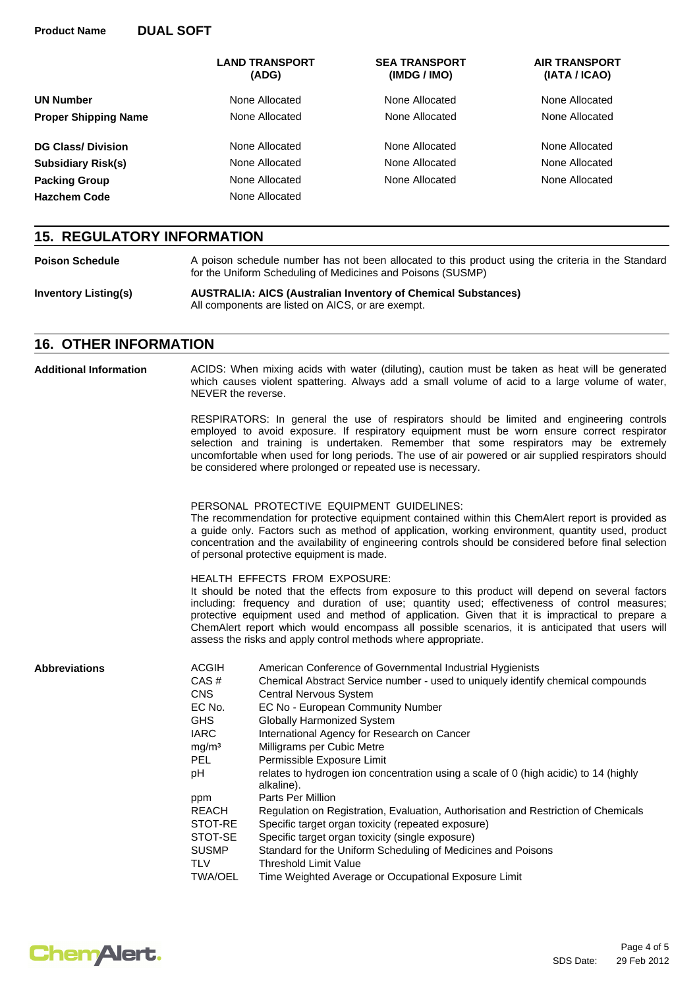|                             | <b>LAND TRANSPORT</b><br>(ADG) | <b>SEA TRANSPORT</b><br>(IMDG / IMO) | <b>AIR TRANSPORT</b><br>(IATA / ICAO) |
|-----------------------------|--------------------------------|--------------------------------------|---------------------------------------|
| <b>UN Number</b>            | None Allocated                 | None Allocated                       | None Allocated                        |
| <b>Proper Shipping Name</b> | None Allocated                 | None Allocated                       | None Allocated                        |
| <b>DG Class/Division</b>    | None Allocated                 | None Allocated                       | None Allocated                        |
| <b>Subsidiary Risk(s)</b>   | None Allocated                 | None Allocated                       | None Allocated                        |
| <b>Packing Group</b>        | None Allocated                 | None Allocated                       | None Allocated                        |
| <b>Hazchem Code</b>         | None Allocated                 |                                      |                                       |

### **15. REGULATORY INFORMATION**

**Inventory Listing(s) Poison Schedule** A poison schedule number has not been allocated to this product using the criteria in the Standard for the Uniform Scheduling of Medicines and Poisons (SUSMP) **AUSTRALIA: AICS (Australian Inventory of Chemical Substances)** All components are listed on AICS, or are exempt.

### **16. OTHER INFORMATION**

| <b>Additional Information</b> | ACIDS: When mixing acids with water (diluting), caution must be taken as heat will be generated<br>which causes violent spattering. Always add a small volume of acid to a large volume of water,<br>NEVER the reverse.                                                                                                                                                                                   |                                                                                                                                                                                                                                                                                                                                                                                                                                                                                                                                                                                                                                                                                                                                                                                                                                                |  |  |
|-------------------------------|-----------------------------------------------------------------------------------------------------------------------------------------------------------------------------------------------------------------------------------------------------------------------------------------------------------------------------------------------------------------------------------------------------------|------------------------------------------------------------------------------------------------------------------------------------------------------------------------------------------------------------------------------------------------------------------------------------------------------------------------------------------------------------------------------------------------------------------------------------------------------------------------------------------------------------------------------------------------------------------------------------------------------------------------------------------------------------------------------------------------------------------------------------------------------------------------------------------------------------------------------------------------|--|--|
|                               |                                                                                                                                                                                                                                                                                                                                                                                                           | RESPIRATORS: In general the use of respirators should be limited and engineering controls<br>employed to avoid exposure. If respiratory equipment must be worn ensure correct respirator<br>selection and training is undertaken. Remember that some respirators may be extremely<br>uncomfortable when used for long periods. The use of air powered or air supplied respirators should<br>be considered where prolonged or repeated use is necessary.                                                                                                                                                                                                                                                                                                                                                                                        |  |  |
|                               | PERSONAL PROTECTIVE EQUIPMENT GUIDELINES:<br>The recommendation for protective equipment contained within this ChemAlert report is provided as<br>a guide only. Factors such as method of application, working environment, quantity used, product<br>concentration and the availability of engineering controls should be considered before final selection<br>of personal protective equipment is made. |                                                                                                                                                                                                                                                                                                                                                                                                                                                                                                                                                                                                                                                                                                                                                                                                                                                |  |  |
|                               |                                                                                                                                                                                                                                                                                                                                                                                                           | <b>HEALTH EFFECTS FROM EXPOSURE:</b><br>It should be noted that the effects from exposure to this product will depend on several factors<br>including: frequency and duration of use; quantity used; effectiveness of control measures;<br>protective equipment used and method of application. Given that it is impractical to prepare a<br>ChemAlert report which would encompass all possible scenarios, it is anticipated that users will<br>assess the risks and apply control methods where appropriate.                                                                                                                                                                                                                                                                                                                                 |  |  |
| <b>Abbreviations</b>          | <b>ACGIH</b><br>CAS#<br><b>CNS</b><br>EC No.<br><b>GHS</b><br><b>IARC</b><br>mg/m <sup>3</sup><br>PEL<br>pH<br>ppm<br><b>REACH</b><br>STOT-RE<br>STOT-SE<br><b>SUSMP</b><br><b>TLV</b><br><b>TWA/OEL</b>                                                                                                                                                                                                  | American Conference of Governmental Industrial Hygienists<br>Chemical Abstract Service number - used to uniquely identify chemical compounds<br>Central Nervous System<br>EC No - European Community Number<br><b>Globally Harmonized System</b><br>International Agency for Research on Cancer<br>Milligrams per Cubic Metre<br>Permissible Exposure Limit<br>relates to hydrogen ion concentration using a scale of 0 (high acidic) to 14 (highly<br>alkaline).<br>Parts Per Million<br>Regulation on Registration, Evaluation, Authorisation and Restriction of Chemicals<br>Specific target organ toxicity (repeated exposure)<br>Specific target organ toxicity (single exposure)<br>Standard for the Uniform Scheduling of Medicines and Poisons<br><b>Threshold Limit Value</b><br>Time Weighted Average or Occupational Exposure Limit |  |  |